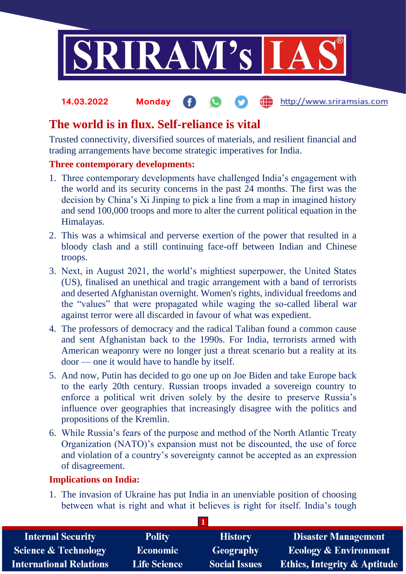

#### **fin** http://www.sriramsias.com **14.03.2022 Monday**

# **The world is in flux. Self-reliance is vital**

Trusted connectivity, diversified sources of materials, and resilient financial and trading arrangements have become strategic imperatives for India.

## **Three contemporary developments:**

- 1. Three contemporary developments have challenged India's engagement with the world and its security concerns in the past 24 months. The first was the decision by China's Xi Jinping to pick a line from a map in imagined history and send 100,000 troops and more to alter the current political equation in the Himalayas.
- 2. This was a whimsical and perverse exertion of the power that resulted in a bloody clash and a still continuing face-off between Indian and Chinese troops.
- 3. Next, in August 2021, the world's mightiest superpower, the United States (US), finalised an unethical and tragic arrangement with a band of terrorists and deserted Afghanistan overnight. Women's rights, individual freedoms and the "values" that were propagated while waging the so-called liberal war against terror were all discarded in favour of what was expedient.
- 4. The professors of democracy and the radical Taliban found a common cause and sent Afghanistan back to the 1990s. For India, terrorists armed with American weaponry were no longer just a threat scenario but a reality at its door — one it would have to handle by itself.
- 5. And now, Putin has decided to go one up on Joe Biden and take Europe back to the early 20th century. Russian troops invaded a sovereign country to enforce a political writ driven solely by the desire to preserve Russia's influence over geographies that increasingly disagree with the politics and propositions of the Kremlin.
- 6. While Russia's fears of the purpose and method of the North Atlantic Treaty Organization (NATO)'s expansion must not be discounted, the use of force and violation of a country's sovereignty cannot be accepted as an expression of disagreement.

### **Implications on India:**

1. The invasion of Ukraine has put India in an unenviable position of choosing between what is right and what it believes is right for itself. India's tough

| <b>Internal Security</b>        | <b>Polity</b>       | <b>History</b>       | <b>Disaster Management</b>              |  |  |
|---------------------------------|---------------------|----------------------|-----------------------------------------|--|--|
| <b>Science &amp; Technology</b> | <b>Economic</b>     | <b>Geography</b>     | <b>Ecology &amp; Environment</b>        |  |  |
| <b>International Relations</b>  | <b>Life Science</b> | <b>Social Issues</b> | <b>Ethics, Integrity &amp; Aptitude</b> |  |  |